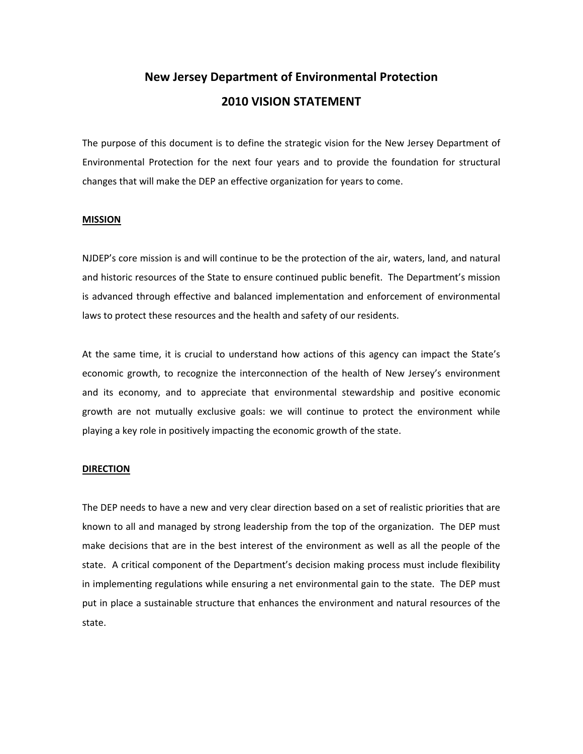# **New Jersey Department of Environmental Protection 2010 VISION STATEMENT**

The purpose of this document is to define the strategic vision for the New Jersey Department of Environmental Protection for the next four years and to provide the foundation for structural changes that will make the DEP an effective organization for years to come.

## **MISSION**

NJDEP's core mission is and will continue to be the protection of the air, waters, land, and natural and historic resources of the State to ensure continued public benefit. The Department's mission is advanced through effective and balanced implementation and enforcement of environmental laws to protect these resources and the health and safety of our residents.

At the same time, it is crucial to understand how actions of this agency can impact the State's economic growth, to recognize the interconnection of the health of New Jersey's environment and its economy, and to appreciate that environmental stewardship and positive economic growth are not mutually exclusive goals: we will continue to protect the environment while playing a key role in positively impacting the economic growth of the state.

### **DIRECTION**

The DEP needs to have a new and very clear direction based on a set of realistic priorities that are known to all and managed by strong leadership from the top of the organization. The DEP must make decisions that are in the best interest of the environment as well as all the people of the state. A critical component of the Department's decision making process must include flexibility in implementing regulations while ensuring a net environmental gain to the state. The DEP must put in place a sustainable structure that enhances the environment and natural resources of the state.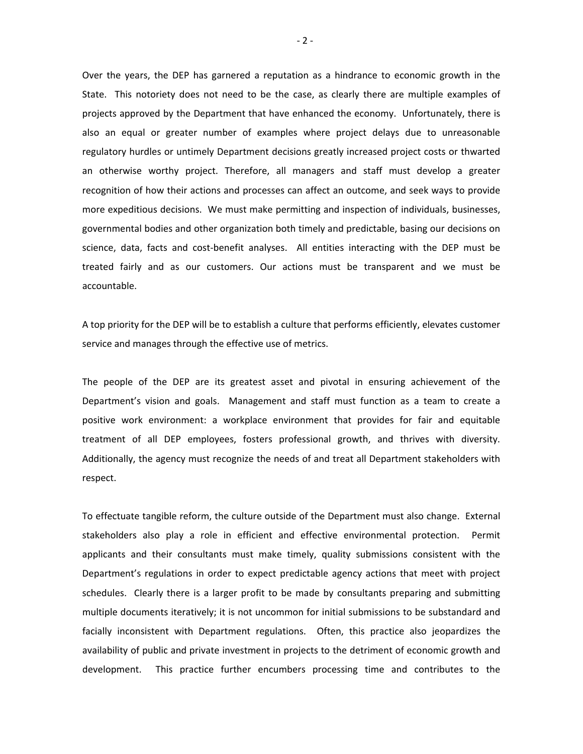Over the years, the DEP has garnered a reputation as a hindrance to economic growth in the State. This notoriety does not need to be the case, as clearly there are multiple examples of projects approved by the Department that have enhanced the economy. Unfortunately, there is also an equal or greater number of examples where project delays due to unreasonable regulatory hurdles or untimely Department decisions greatly increased project costs or thwarted an otherwise worthy project. Therefore, all managers and staff must develop a greater recognition of how their actions and processes can affect an outcome, and seek ways to provide more expeditious decisions. We must make permitting and inspection of individuals, businesses, governmental bodies and other organization both timely and predictable, basing our decisions on science, data, facts and cost-benefit analyses. All entities interacting with the DEP must be treated fairly and as our customers. Our actions must be transparent and we must be accountable.

A top priority for the DEP will be to establish a culture that performs efficiently, elevates customer service and manages through the effective use of metrics.

The people of the DEP are its greatest asset and pivotal in ensuring achievement of the Department's vision and goals. Management and staff must function as a team to create a positive work environment: a workplace environment that provides for fair and equitable treatment of all DEP employees, fosters professional growth, and thrives with diversity. Additionally, the agency must recognize the needs of and treat all Department stakeholders with respect.

To effectuate tangible reform, the culture outside of the Department must also change. External stakeholders also play a role in efficient and effective environmental protection. Permit applicants and their consultants must make timely, quality submissions consistent with the Department's regulations in order to expect predictable agency actions that meet with project schedules. Clearly there is a larger profit to be made by consultants preparing and submitting multiple documents iteratively; it is not uncommon for initial submissions to be substandard and facially inconsistent with Department regulations. Often, this practice also jeopardizes the availability of public and private investment in projects to the detriment of economic growth and development. This practice further encumbers processing time and contributes to the

 $-2 -$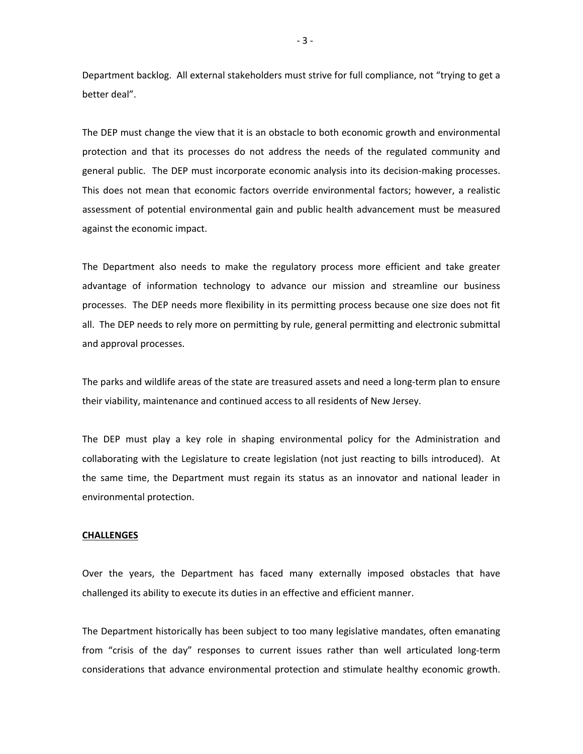Department backlog. All external stakeholders must strive for full compliance, not "trying to get a better deal".

The DEP must change the view that it is an obstacle to both economic growth and environmental protection and that its processes do not address the needs of the regulated community and general public. The DEP must incorporate economic analysis into its decision-making processes. This does not mean that economic factors override environmental factors; however, a realistic assessment of potential environmental gain and public health advancement must be measured against the economic impact.

The Department also needs to make the regulatory process more efficient and take greater advantage of information technology to advance our mission and streamline our business processes. The DEP needs more flexibility in its permitting process because one size does not fit all. The DEP needs to rely more on permitting by rule, general permitting and electronic submittal and approval processes.

The parks and wildlife areas of the state are treasured assets and need a long‐term plan to ensure their viability, maintenance and continued access to all residents of New Jersey.

The DEP must play a key role in shaping environmental policy for the Administration and collaborating with the Legislature to create legislation (not just reacting to bills introduced). At the same time, the Department must regain its status as an innovator and national leader in environmental protection.

#### **CHALLENGES**

Over the years, the Department has faced many externally imposed obstacles that have challenged its ability to execute its duties in an effective and efficient manner.

The Department historically has been subject to too many legislative mandates, often emanating from "crisis of the day" responses to current issues rather than well articulated long-term considerations that advance environmental protection and stimulate healthy economic growth.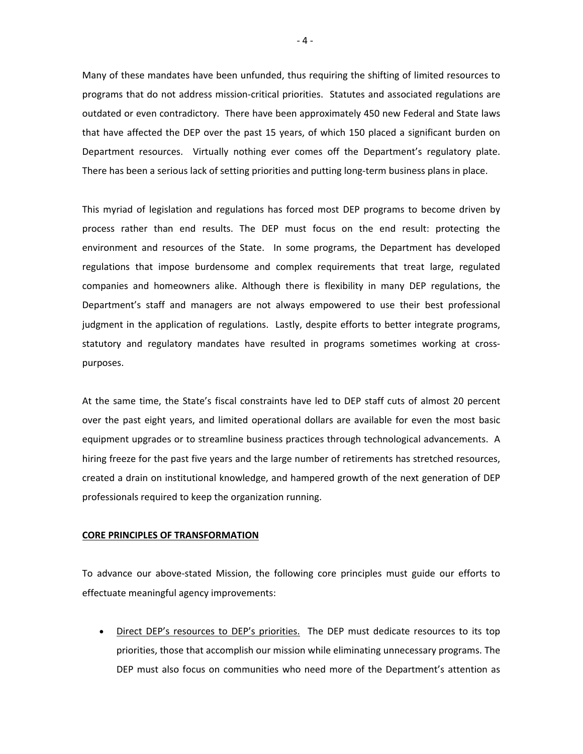Many of these mandates have been unfunded, thus requiring the shifting of limited resources to programs that do not address mission‐critical priorities. Statutes and associated regulations are outdated or even contradictory. There have been approximately 450 new Federal and State laws that have affected the DEP over the past 15 years, of which 150 placed a significant burden on Department resources. Virtually nothing ever comes off the Department's regulatory plate. There has been a serious lack of setting priorities and putting long‐term business plans in place.

This myriad of legislation and regulations has forced most DEP programs to become driven by process rather than end results. The DEP must focus on the end result: protecting the environment and resources of the State. In some programs, the Department has developed regulations that impose burdensome and complex requirements that treat large, regulated companies and homeowners alike. Although there is flexibility in many DEP regulations, the Department's staff and managers are not always empowered to use their best professional judgment in the application of regulations. Lastly, despite efforts to better integrate programs, statutory and regulatory mandates have resulted in programs sometimes working at cross‐ purposes.

At the same time, the State's fiscal constraints have led to DEP staff cuts of almost 20 percent over the past eight years, and limited operational dollars are available for even the most basic equipment upgrades or to streamline business practices through technological advancements. A hiring freeze for the past five years and the large number of retirements has stretched resources, created a drain on institutional knowledge, and hampered growth of the next generation of DEP professionals required to keep the organization running.

#### **CORE PRINCIPLES OF TRANSFORMATION**

To advance our above‐stated Mission, the following core principles must guide our efforts to effectuate meaningful agency improvements:

Direct DEP's resources to DEP's priorities. The DEP must dedicate resources to its top priorities, those that accomplish our mission while eliminating unnecessary programs. The DEP must also focus on communities who need more of the Department's attention as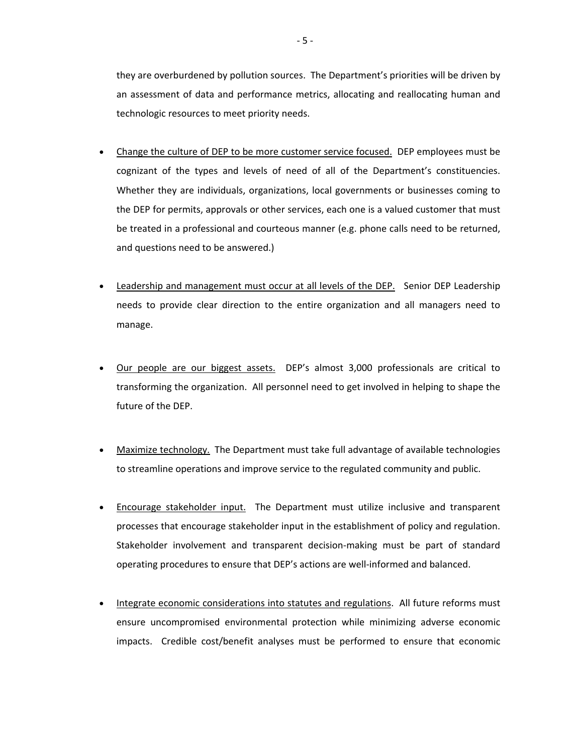they are overburdened by pollution sources. The Department's priorities will be driven by an assessment of data and performance metrics, allocating and reallocating human and technologic resources to meet priority needs.

- Change the culture of DEP to be more customer service focused. DEP employees must be cognizant of the types and levels of need of all of the Department's constituencies. Whether they are individuals, organizations, local governments or businesses coming to the DEP for permits, approvals or other services, each one is a valued customer that must be treated in a professional and courteous manner (e.g. phone calls need to be returned, and questions need to be answered.)
- Leadership and management must occur at all levels of the DEP. Senior DEP Leadership needs to provide clear direction to the entire organization and all managers need to manage.
- Our people are our biggest assets. DEP's almost 3,000 professionals are critical to transforming the organization. All personnel need to get involved in helping to shape the future of the DEP.
- Maximize technology. The Department must take full advantage of available technologies to streamline operations and improve service to the regulated community and public.
- **Encourage stakeholder input.** The Department must utilize inclusive and transparent processes that encourage stakeholder input in the establishment of policy and regulation. Stakeholder involvement and transparent decision‐making must be part of standard operating procedures to ensure that DEP's actions are well‐informed and balanced.
- Integrate economic considerations into statutes and regulations. All future reforms must ensure uncompromised environmental protection while minimizing adverse economic impacts. Credible cost/benefit analyses must be performed to ensure that economic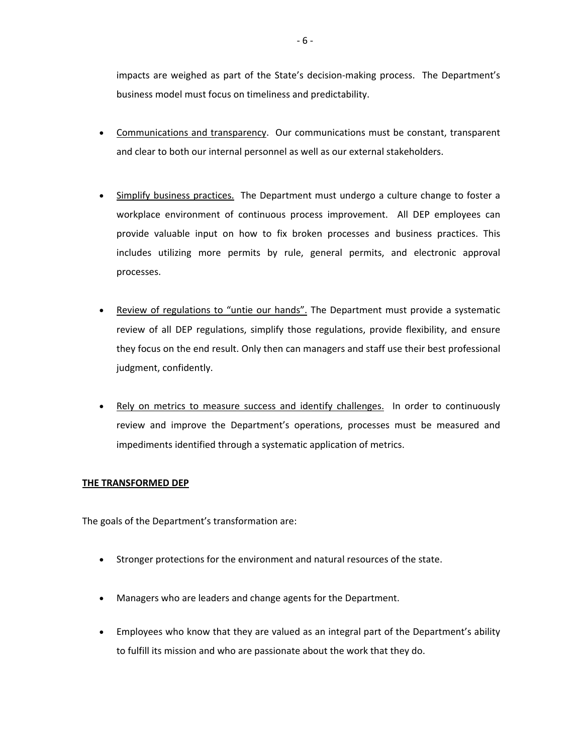impacts are weighed as part of the State's decision-making process. The Department's business model must focus on timeliness and predictability.

- Communications and transparency. Our communications must be constant, transparent and clear to both our internal personnel as well as our external stakeholders.
- Simplify business practices. The Department must undergo a culture change to foster a workplace environment of continuous process improvement. All DEP employees can provide valuable input on how to fix broken processes and business practices. This includes utilizing more permits by rule, general permits, and electronic approval processes.
- Review of regulations to "untie our hands". The Department must provide a systematic review of all DEP regulations, simplify those regulations, provide flexibility, and ensure they focus on the end result. Only then can managers and staff use their best professional judgment, confidently.
- Rely on metrics to measure success and identify challenges. In order to continuously review and improve the Department's operations, processes must be measured and impediments identified through a systematic application of metrics.

# **THE TRANSFORMED DEP**

The goals of the Department's transformation are:

- Stronger protections for the environment and natural resources of the state.
- Managers who are leaders and change agents for the Department.
- Employees who know that they are valued as an integral part of the Department's ability to fulfill its mission and who are passionate about the work that they do.